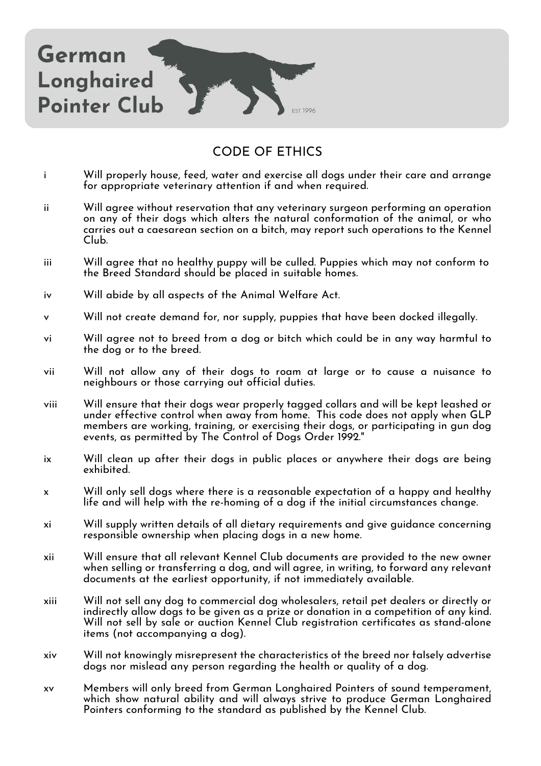

## CODE OF ETHICS

- i Will properly house, feed, water and exercise all dogs under their care and arrange for appropriate veterinary attention if and when required.
- ii Will agree without reservation that any veterinary surgeon performing an operation on any of their dogs which alters the natural conformation of the animal, or who carries out a caesarean section on a bitch, may report such operations to the Kennel Club.
- iii Will agree that no healthy puppy will be culled. Puppies which may not conform to the Breed Standard should be placed in suitable homes.
- iv Will abide by all aspects of the Animal Welfare Act.
- Will not create demand for, nor supply, puppies that have been docked illegally.
- vi Will agree not to breed from a dog or bitch which could be in any way harmful to the dog or to the breed.
- vii Will not allow any of their dogs to roam at large or to cause a nuisance to neighbours or those carrying out official duties.
- viii Will ensure that their dogs wear properly tagged collars and will be kept leashed or under effective control when away from home. This code does not apply when GLP members are working, training, or exercising their dogs, or participating in gun dog events, as permitted by The Control of Dogs Order 1992."
- ix Will clean up after their dogs in public places or anywhere their dogs are being exhibited.
- x Will only sell dogs where there is a reasonable expectation of a happy and healthy life and will help with the re-homing of a dog if the initial circumstances change.
- xi Will supply written details of all dietary requirements and give guidance concerning responsible ownership when placing dogs in a new home.
- xii Will ensure that all relevant Kennel Club documents are provided to the new owner when selling or transferring a dog, and will agree, in writing, to forward any relevant documents at the earliest opportunity, if not immediately available.
- xiii Will not sell any dog to commercial dog wholesalers, retail pet dealers or directly or indirectly allow dogs to be given as a prize or donation in a competition of any kind. Will not sell by sale or auction Kennel Club registration certificates as stand-alone items (not accompanying a dog).
- xiv Will not knowingly misrepresent the characteristics of the breed nor falsely advertise dogs nor mislead any person regarding the health or quality of a dog.
- xv Members will only breed from German Longhaired Pointers of sound temperament, which show natural ability and will always strive to produce German Longhaired Pointers conforming to the standard as published by the Kennel Club.